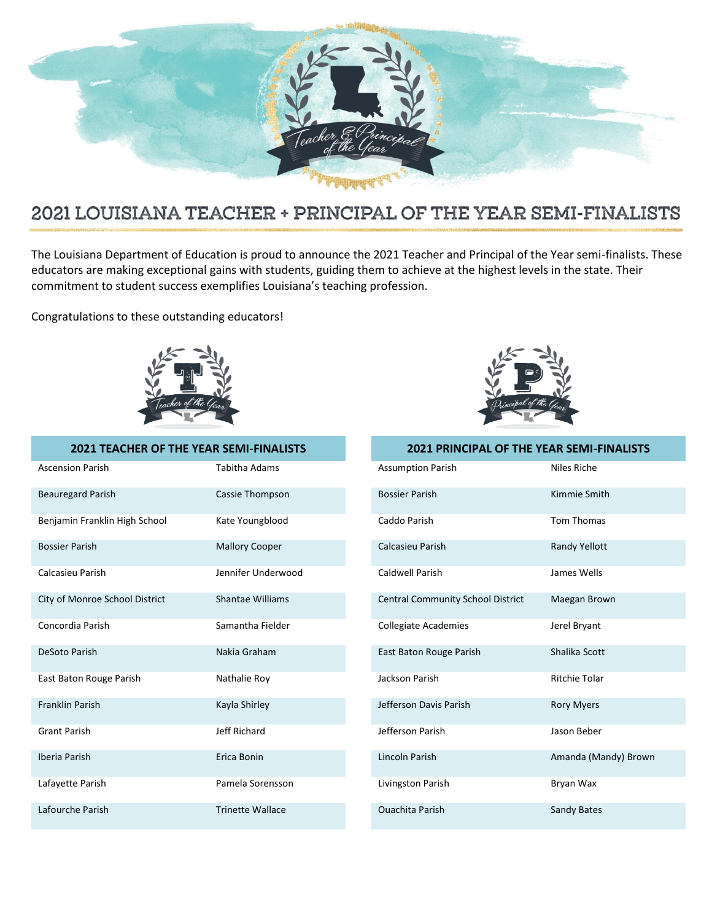

## 2021 LOUISIANA TEACHER + PRINCIPAL OF THE YEAR SEMI-FINALISTS

The Louisiana Department of Education is proud to announce the 2021 Teacher and Principal of the Year semi-finalists. These educators are making exceptional gains with students, guiding them to achieve at the highest levels in the state. Their commitment to student success exemplifies Louisiana's teaching profession.

Congratulations to these outstanding educators!



| <b>2021 TEACHER OF THE YEAR SEMI-FINALISTS</b> |                         | <b>2021 PRINCIPAL OF THE YEAR SEMI-FINALISTS</b> |                      |  |
|------------------------------------------------|-------------------------|--------------------------------------------------|----------------------|--|
| <b>Ascension Parish</b>                        | <b>Tabitha Adams</b>    | <b>Assumption Parish</b>                         | Niles Riche          |  |
| <b>Beauregard Parish</b>                       | Cassie Thompson         | <b>Bossier Parish</b>                            | Kimmie Smith         |  |
| Benjamin Franklin High School                  | Kate Youngblood         | Caddo Parish                                     | Tom Thomas           |  |
| <b>Bossier Parish</b>                          | <b>Mallory Cooper</b>   | Calcasieu Parish                                 | Randy Yellott        |  |
| Calcasieu Parish                               | Jennifer Underwood      | <b>Caldwell Parish</b>                           | James Wells          |  |
| City of Monroe School District                 | <b>Shantae Williams</b> | Central Community School District                | Maegan Brown         |  |
| Concordia Parish                               | Samantha Fielder        | <b>Collegiate Academies</b>                      | Jerel Bryant         |  |
| DeSoto Parish                                  | Nakia Graham            | East Baton Rouge Parish                          | Shalika Scott        |  |
| East Baton Rouge Parish                        | Nathalie Roy            | Jackson Parish                                   | <b>Ritchie Tolar</b> |  |
| <b>Franklin Parish</b>                         | Kayla Shirley           | Jefferson Davis Parish                           | <b>Rory Myers</b>    |  |
| <b>Grant Parish</b>                            | <b>Jeff Richard</b>     | Jefferson Parish                                 | Jason Beber          |  |
| Iberia Parish                                  | Erica Bonin             | Lincoln Parish                                   | Amanda (Mandy) Brown |  |
| Lafayette Parish                               | Pamela Sorensson        | Livingston Parish                                | Bryan Wax            |  |
| Lafourche Parish                               | <b>Trinette Wallace</b> | <b>Ouachita Parish</b>                           | Sandy Bates          |  |



| 2021 PRINCIPAL OF THE YEAR SEMI-FINALISTS |                      |  |  |  |  |
|-------------------------------------------|----------------------|--|--|--|--|
| <b>Assumption Parish</b>                  | Niles Riche          |  |  |  |  |
| <b>Bossier Parish</b>                     | Kimmie Smith         |  |  |  |  |
| Caddo Parish                              | <b>Tom Thomas</b>    |  |  |  |  |
| Calcasieu Parish                          | <b>Randy Yellott</b> |  |  |  |  |
| Caldwell Parish                           | James Wells          |  |  |  |  |
| <b>Central Community School District</b>  | Maegan Brown         |  |  |  |  |
| <b>Collegiate Academies</b>               | Jerel Bryant         |  |  |  |  |
| East Baton Rouge Parish                   | Shalika Scott        |  |  |  |  |
| <b>Jackson Parish</b>                     | <b>Ritchie Tolar</b> |  |  |  |  |
| Jefferson Davis Parish                    | <b>Rory Myers</b>    |  |  |  |  |
| Jefferson Parish                          | Jason Beber          |  |  |  |  |
| Lincoln Parish                            | Amanda (Mandy) Brown |  |  |  |  |
| Livingston Parish                         | Bryan Wax            |  |  |  |  |
| Quachita Parish                           | Sandy Bates          |  |  |  |  |